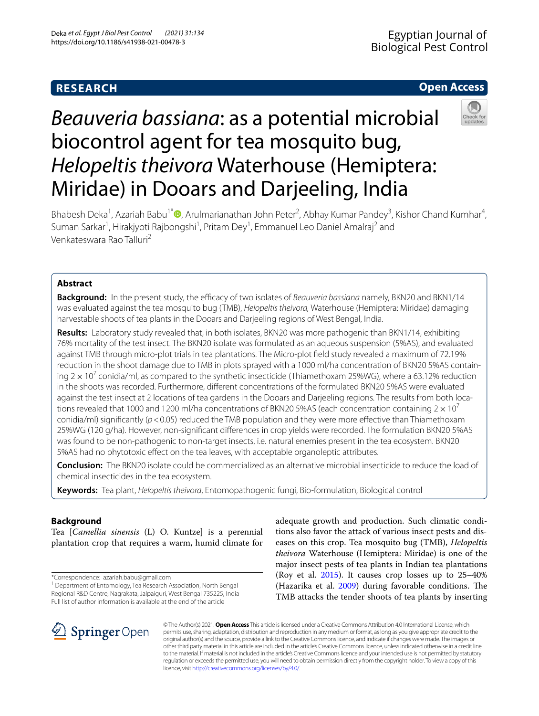# **RESEARCH**

# **Open Access**



# *Beauveria bassiana*: as a potential microbial biocontrol agent for tea mosquito bug, *Helopeltis theivora* Waterhouse (Hemiptera: Miridae) in Dooars and Darjeeling, India

Bhabesh Deka<sup>1</sup>, Azariah Babu<sup>1[\\*](http://orcid.org/0000-0003-4863-008X)</sup> (D, Arulmarianathan John Peter<sup>2</sup>, Abhay Kumar Pandey<sup>3</sup>, Kishor Chand Kumhar<sup>4</sup>, Suman Sarkar<sup>1</sup>, Hirakjyoti Rajbongshi<sup>1</sup>, Pritam Dey<sup>1</sup>, Emmanuel Leo Daniel Amalraj<sup>2</sup> and Venkateswara Rao Talluri<sup>2</sup>

# **Abstract**

**Background:** In the present study, the efficacy of two isolates of *Beauveria bassiana* namely, BKN20 and BKN1/14 was evaluated against the tea mosquito bug (TMB), *Helopeltis theivora,* Waterhouse (Hemiptera: Miridae) damaging harvestable shoots of tea plants in the Dooars and Darjeeling regions of West Bengal, India.

**Results:** Laboratory study revealed that, in both isolates, BKN20 was more pathogenic than BKN1/14, exhibiting 76% mortality of the test insect. The BKN20 isolate was formulated as an aqueous suspension (5%AS), and evaluated against TMB through micro-plot trials in tea plantations. The Micro-plot feld study revealed a maximum of 72.19% reduction in the shoot damage due to TMB in plots sprayed with a 1000 ml/ha concentration of BKN20 5%AS containing 2  $\times$  10<sup>7</sup> conidia/ml, as compared to the synthetic insecticide (Thiamethoxam 25%WG), where a 63.12% reduction in the shoots was recorded. Furthermore, diferent concentrations of the formulated BKN20 5%AS were evaluated against the test insect at 2 locations of tea gardens in the Dooars and Darjeeling regions. The results from both locations revealed that 1000 and 1200 ml/ha concentrations of BKN20 5%AS (each concentration containing  $2 \times 10^7$ conidia/ml) significantly ( $p$  < 0.05) reduced the TMB population and they were more effective than Thiamethoxam 25%WG (120 g/ha). However, non-signifcant diferences in crop yields were recorded. The formulation BKN20 5%AS was found to be non-pathogenic to non-target insects, i.e. natural enemies present in the tea ecosystem. BKN20 5%AS had no phytotoxic efect on the tea leaves, with acceptable organoleptic attributes.

**Conclusion:** The BKN20 isolate could be commercialized as an alternative microbial insecticide to reduce the load of chemical insecticides in the tea ecosystem.

**Keywords:** Tea plant, *Helopeltis theivora*, Entomopathogenic fungi, Bio-formulation, Biological control

# **Background**

Tea [*Camellia sinensis* (L) O. Kuntze] is a perennial plantation crop that requires a warm, humid climate for

\*Correspondence: azariah.babu@gmail.com

<sup>1</sup> Department of Entomology, Tea Research Association, North Bengal Regional R&D Centre, Nagrakata, Jalpaiguri, West Bengal 735225, India Full list of author information is available at the end of the article

adequate growth and production. Such climatic conditions also favor the attack of various insect pests and diseases on this crop. Tea mosquito bug (TMB), *Helopeltis theivora* Waterhouse (Hemiptera: Miridae) is one of the major insect pests of tea plants in Indian tea plantations (Roy et al.  $2015$ ). It causes crop losses up to  $25-40\%$ (Hazarika et al. [2009\)](#page-8-1) during favorable conditions. The TMB attacks the tender shoots of tea plants by inserting



© The Author(s) 2021. **Open Access** This article is licensed under a Creative Commons Attribution 4.0 International License, which permits use, sharing, adaptation, distribution and reproduction in any medium or format, as long as you give appropriate credit to the original author(s) and the source, provide a link to the Creative Commons licence, and indicate if changes were made. The images or other third party material in this article are included in the article's Creative Commons licence, unless indicated otherwise in a credit line to the material. If material is not included in the article's Creative Commons licence and your intended use is not permitted by statutory regulation or exceeds the permitted use, you will need to obtain permission directly from the copyright holder. To view a copy of this licence, visit [http://creativecommons.org/licenses/by/4.0/.](http://creativecommons.org/licenses/by/4.0/)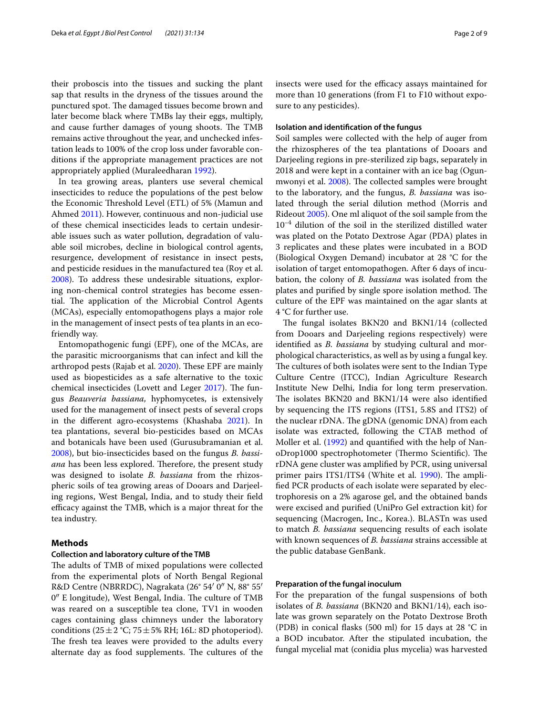their proboscis into the tissues and sucking the plant sap that results in the dryness of the tissues around the punctured spot. The damaged tissues become brown and later become black where TMBs lay their eggs, multiply, and cause further damages of young shoots. The TMB remains active throughout the year, and unchecked infestation leads to 100% of the crop loss under favorable conditions if the appropriate management practices are not appropriately applied (Muraleedharan [1992](#page-8-2)).

In tea growing areas, planters use several chemical insecticides to reduce the populations of the pest below the Economic Threshold Level (ETL) of 5% (Mamun and Ahmed [2011](#page-8-3)). However, continuous and non-judicial use of these chemical insecticides leads to certain undesirable issues such as water pollution, degradation of valuable soil microbes, decline in biological control agents, resurgence, development of resistance in insect pests, and pesticide residues in the manufactured tea (Roy et al. [2008](#page-8-4)). To address these undesirable situations, exploring non-chemical control strategies has become essential. The application of the Microbial Control Agents (MCAs), especially entomopathogens plays a major role in the management of insect pests of tea plants in an ecofriendly way.

Entomopathogenic fungi (EPF), one of the MCAs, are the parasitic microorganisms that can infect and kill the arthropod pests (Rajab et al. [2020](#page-8-5)). These EPF are mainly used as biopesticides as a safe alternative to the toxic chemical insecticides (Lovett and Leger  $2017$ ). The fungus *Beauveria bassiana,* hyphomycetes, is extensively used for the management of insect pests of several crops in the diferent agro-ecosystems (Khashaba [2021\)](#page-8-7). In tea plantations, several bio-pesticides based on MCAs and botanicals have been used (Gurusubramanian et al. [2008](#page-8-8)), but bio-insecticides based on the fungus *B. bassi*ana has been less explored. Therefore, the present study was designed to isolate *B. bassiana* from the rhizospheric soils of tea growing areas of Dooars and Darjeeling regions, West Bengal, India, and to study their feld efficacy against the TMB, which is a major threat for the tea industry.

## **Methods**

#### **Collection and laboratory culture of the TMB**

The adults of TMB of mixed populations were collected from the experimental plots of North Bengal Regional R&D Centre (NBRRDC), Nagrakata (26° 54′ 0″ N, 88° 55′  $0''$  E longitude), West Bengal, India. The culture of TMB was reared on a susceptible tea clone, TV1 in wooden cages containing glass chimneys under the laboratory conditions ( $25 \pm 2$  °C;  $75 \pm 5$ % RH; 16L: 8D photoperiod). The fresh tea leaves were provided to the adults every alternate day as food supplements. The cultures of the insects were used for the efficacy assays maintained for more than 10 generations (from F1 to F10 without exposure to any pesticides).

#### **Isolation and identifcation of the fungus**

Soil samples were collected with the help of auger from the rhizospheres of the tea plantations of Dooars and Darjeeling regions in pre-sterilized zip bags, separately in 2018 and were kept in a container with an ice bag (Ogun-mwonyi et al. [2008](#page-8-9)). The collected samples were brought to the laboratory, and the fungus, *B. bassiana* was isolated through the serial dilution method (Morris and Rideout [2005](#page-8-10)). One ml aliquot of the soil sample from the  $10^{-4}$  dilution of the soil in the sterilized distilled water was plated on the Potato Dextrose Agar (PDA) plates in 3 replicates and these plates were incubated in a BOD (Biological Oxygen Demand) incubator at 28 °C for the isolation of target entomopathogen. After 6 days of incubation, the colony of *B. bassiana* was isolated from the plates and purified by single spore isolation method. The culture of the EPF was maintained on the agar slants at 4 °C for further use.

The fungal isolates BKN20 and BKN1/14 (collected from Dooars and Darjeeling regions respectively) were identifed as *B. bassiana* by studying cultural and morphological characteristics, as well as by using a fungal key. The cultures of both isolates were sent to the Indian Type Culture Centre (ITCC), Indian Agriculture Research Institute New Delhi, India for long term preservation. The isolates BKN20 and BKN1/14 were also identified by sequencing the ITS regions (ITS1, 5.8S and ITS2) of the nuclear rDNA. The gDNA (genomic DNA) from each isolate was extracted, following the CTAB method of Moller et al. [\(1992\)](#page-8-11) and quantifed with the help of NanoDrop1000 spectrophotometer (Thermo Scientific). The rDNA gene cluster was amplifed by PCR, using universal primer pairs ITS1/ITS4 (White et al. [1990\)](#page-8-12). The amplifed PCR products of each isolate were separated by electrophoresis on a 2% agarose gel, and the obtained bands were excised and purifed (UniPro Gel extraction kit) for sequencing (Macrogen, Inc., Korea.). BLASTn was used to match *B. bassiana* sequencing results of each isolate with known sequences of *B. bassiana* strains accessible at the public database GenBank.

## **Preparation of the fungal inoculum**

For the preparation of the fungal suspensions of both isolates of *B. bassiana* (BKN20 and BKN1/14), each isolate was grown separately on the Potato Dextrose Broth (PDB) in conical fasks (500 ml) for 15 days at 28 °C in a BOD incubator. After the stipulated incubation, the fungal mycelial mat (conidia plus mycelia) was harvested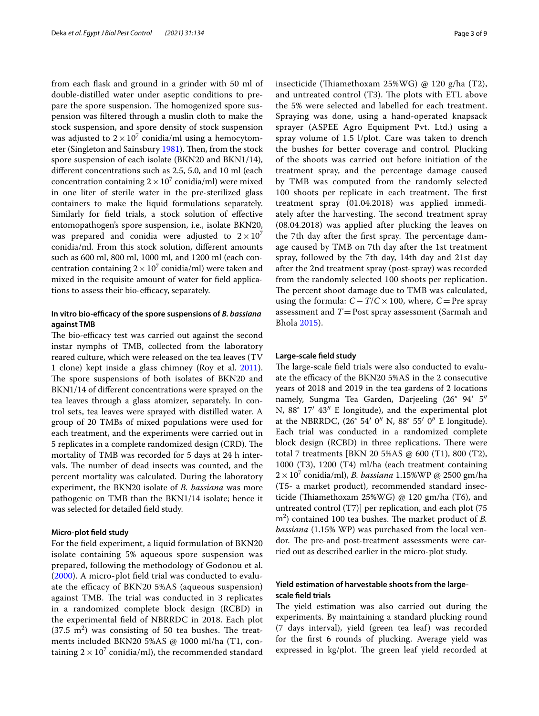from each fask and ground in a grinder with 50 ml of double-distilled water under aseptic conditions to prepare the spore suspension. The homogenized spore suspension was fltered through a muslin cloth to make the stock suspension, and spore density of stock suspension was adjusted to  $2 \times 10^7$  conidia/ml using a hemocytom-eter (Singleton and Sainsbury [1981\)](#page-8-13). Then, from the stock spore suspension of each isolate (BKN20 and BKN1/14), diferent concentrations such as 2.5, 5.0, and 10 ml (each concentration containing  $2 \times 10^7$  conidia/ml) were mixed in one liter of sterile water in the pre-sterilized glass containers to make the liquid formulations separately. Similarly for feld trials, a stock solution of efective entomopathogen's spore suspension, i.e., isolate BKN20, was prepared and conidia were adjusted to  $2 \times 10^{7}$ conidia/ml. From this stock solution, diferent amounts such as 600 ml, 800 ml, 1000 ml, and 1200 ml (each concentration containing  $2 \times 10^7$  conidia/ml) were taken and mixed in the requisite amount of water for feld applications to assess their bio-efficacy, separately.

## In vitro bio-efficacy of the spore suspensions of *B. bassiana* **against TMB**

The bio-efficacy test was carried out against the second instar nymphs of TMB, collected from the laboratory reared culture, which were released on the tea leaves (TV 1 clone) kept inside a glass chimney (Roy et al. [2011](#page-8-14)). The spore suspensions of both isolates of BKN20 and BKN1/14 of diferent concentrations were sprayed on the tea leaves through a glass atomizer, separately. In control sets, tea leaves were sprayed with distilled water. A group of 20 TMBs of mixed populations were used for each treatment, and the experiments were carried out in 5 replicates in a complete randomized design (CRD). The mortality of TMB was recorded for 5 days at 24 h intervals. The number of dead insects was counted, and the percent mortality was calculated. During the laboratory experiment, the BKN20 isolate of *B. bassiana* was more pathogenic on TMB than the BKN1/14 isolate; hence it was selected for detailed feld study.

#### **Micro‑plot feld study**

For the feld experiment, a liquid formulation of BKN20 isolate containing 5% aqueous spore suspension was prepared, following the methodology of Godonou et al. ([2000](#page-8-15)). A micro-plot feld trial was conducted to evaluate the efficacy of BKN20 5%AS (aqueous suspension) against TMB. The trial was conducted in 3 replicates in a randomized complete block design (RCBD) in the experimental feld of NBRRDC in 2018. Each plot  $(37.5 \text{ m}^2)$  was consisting of 50 tea bushes. The treatments included BKN20 5%AS @ 1000 ml/ha (T1, containing  $2 \times 10^7$  conidia/ml), the recommended standard insecticide (Thiamethoxam 25%WG) @ 120 g/ha (T2), and untreated control  $(T3)$ . The plots with ETL above the 5% were selected and labelled for each treatment. Spraying was done, using a hand-operated knapsack sprayer (ASPEE Agro Equipment Pvt. Ltd.) using a spray volume of 1.5 l/plot. Care was taken to drench the bushes for better coverage and control. Plucking of the shoots was carried out before initiation of the treatment spray, and the percentage damage caused by TMB was computed from the randomly selected 100 shoots per replicate in each treatment. The first treatment spray (01.04.2018) was applied immediately after the harvesting. The second treatment spray (08.04.2018) was applied after plucking the leaves on the 7th day after the first spray. The percentage damage caused by TMB on 7th day after the 1st treatment spray, followed by the 7th day, 14th day and 21st day after the 2nd treatment spray (post-spray) was recorded from the randomly selected 100 shoots per replication. The percent shoot damage due to TMB was calculated, using the formula: *C*−*T*/*C*×100, where, *C*=Pre spray assessment and  $T =$  Post spray assessment (Sarmah and Bhola [2015\)](#page-8-16).

#### **Large‑scale feld study**

The large-scale field trials were also conducted to evaluate the efficacy of the BKN20 5%AS in the 2 consecutive years of 2018 and 2019 in the tea gardens of 2 locations namely, Sungma Tea Garden, Darjeeling (26° 94′ 5″ N, 88° 17′ 43″ E longitude), and the experimental plot at the NBRRDC, (26° 54′ 0″ N, 88° 55′ 0″ E longitude). Each trial was conducted in a randomized complete block design (RCBD) in three replications. There were total 7 treatments [BKN 20 5%AS @ 600 (T1), 800 (T2), 1000 (T3), 1200 (T4) ml/ha (each treatment containing 2× 107 conidia/ml), *B. bassiana* 1.15%WP @ 2500 gm/ha (T5- a market product), recommended standard insecticide (Thiamethoxam 25%WG)  $@$  120 gm/ha (T6), and untreated control (T7)] per replication, and each plot (75 m<sup>2</sup>) contained 100 tea bushes. The market product of *B*. *bassiana* (1.15% WP) was purchased from the local vendor. The pre-and post-treatment assessments were carried out as described earlier in the micro-plot study.

# **Yield estimation of harvestable shoots from the large‑ scale feld trials**

The yield estimation was also carried out during the experiments. By maintaining a standard plucking round (7 days interval), yield (green tea leaf) was recorded for the frst 6 rounds of plucking. Average yield was expressed in kg/plot. The green leaf yield recorded at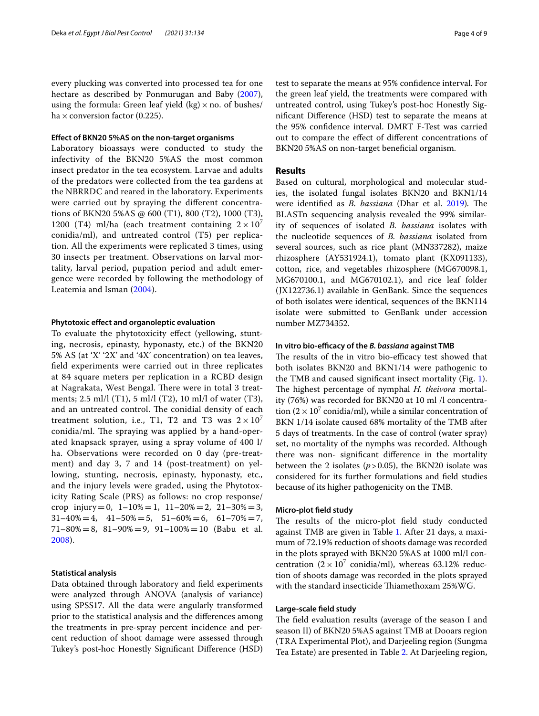every plucking was converted into processed tea for one hectare as described by Ponmurugan and Baby [\(2007](#page-8-17)), using the formula: Green leaf yield  $(kg) \times$  no. of bushes/ ha  $\times$  conversion factor (0.225).

#### **Efect of BKN20 5%AS on the non‑target organisms**

Laboratory bioassays were conducted to study the infectivity of the BKN20 5%AS the most common insect predator in the tea ecosystem. Larvae and adults of the predators were collected from the tea gardens at the NBRRDC and reared in the laboratory. Experiments were carried out by spraying the diferent concentrations of BKN20 5%AS @ 600 (T1), 800 (T2), 1000 (T3), 1200 (T4) ml/ha (each treatment containing  $2 \times 10^{7}$ conidia/ml), and untreated control (T5) per replication. All the experiments were replicated 3 times, using 30 insects per treatment. Observations on larval mortality, larval period, pupation period and adult emergence were recorded by following the methodology of Leatemia and Isman [\(2004\)](#page-8-18).

#### **Phytotoxic efect and organoleptic evaluation**

To evaluate the phytotoxicity efect (yellowing, stunting, necrosis, epinasty, hyponasty, etc.) of the BKN20 5% AS (at 'X' '2X' and '4X' concentration) on tea leaves, feld experiments were carried out in three replicates at 84 square meters per replication in a RCBD design at Nagrakata, West Bengal. There were in total 3 treatments; 2.5 ml/l (T1), 5 ml/l (T2), 10 ml/l of water (T3), and an untreated control. The conidial density of each treatment solution, i.e., T1, T2 and T3 was  $2 \times 10^7$ conidia/ml. The spraying was applied by a hand-operated knapsack sprayer, using a spray volume of 400 l/ ha. Observations were recorded on 0 day (pre-treatment) and day 3, 7 and 14 (post-treatment) on yellowing, stunting, necrosis, epinasty, hyponasty, etc*.,* and the injury levels were graded, using the Phytotoxicity Rating Scale (PRS) as follows: no crop response/ crop injury=0,  $1-10\% = 1$ ,  $11-20\% = 2$ ,  $21-30\% = 3$ ,  $31-40\% = 4$ ,  $41-50\% = 5$ ,  $51-60\% = 6$ ,  $61-70\% = 7$ ,  $71-80\% = 8$ ,  $81-90\% = 9$ ,  $91-100\% = 10$  (Babu et al. [2008\)](#page-8-19).

## **Statistical analysis**

Data obtained through laboratory and feld experiments were analyzed through ANOVA (analysis of variance) using SPSS17. All the data were angularly transformed prior to the statistical analysis and the diferences among the treatments in pre-spray percent incidence and percent reduction of shoot damage were assessed through Tukey's post-hoc Honestly Signifcant Diference (HSD) test to separate the means at 95% confdence interval. For the green leaf yield, the treatments were compared with untreated control, using Tukey's post-hoc Honestly Signifcant Diference (HSD) test to separate the means at the 95% confdence interval. DMRT F-Test was carried out to compare the efect of diferent concentrations of BKN20 5%AS on non-target beneficial organism.

#### **Results**

Based on cultural, morphological and molecular studies, the isolated fungal isolates BKN20 and BKN1/14 were identified as *B. bassiana* (Dhar et al. [2019](#page-8-20)). The BLASTn sequencing analysis revealed the 99% similarity of sequences of isolated *B. bassiana* isolates with the nucleotide sequences of *B. bassiana* isolated from several sources, such as rice plant (MN337282), maize rhizosphere (AY531924.1), tomato plant (KX091133), cotton, rice, and vegetables rhizosphere (MG670098.1, MG670100.1, and MG670102.1), and rice leaf folder (JX122736.1) available in GenBank. Since the sequences of both isolates were identical, sequences of the BKN114 isolate were submitted to GenBank under accession number MZ734352.

#### In vitro bio-efficacy of the *B. bassiana* against TMB

The results of the in vitro bio-efficacy test showed that both isolates BKN20 and BKN1/14 were pathogenic to the TMB and caused signifcant insect mortality (Fig. [1](#page-4-0)). The highest percentage of nymphal *H. theivora* mortality (76%) was recorded for BKN20 at 10 ml /l concentration  $(2 \times 10^7 \text{ conidia/ml})$ , while a similar concentration of BKN 1/14 isolate caused 68% mortality of the TMB after 5 days of treatments. In the case of control (water spray) set, no mortality of the nymphs was recorded. Although there was non- signifcant diference in the mortality between the 2 isolates  $(p>0.05)$ , the BKN20 isolate was considered for its further formulations and feld studies because of its higher pathogenicity on the TMB.

#### **Micro‑plot feld study**

The results of the micro-plot field study conducted against TMB are given in Table [1.](#page-4-1) After 21 days, a maximum of 72.19% reduction of shoots damage was recorded in the plots sprayed with BKN20 5%AS at 1000 ml/l concentration  $(2 \times 10^7 \text{ conidia/ml})$ , whereas 63.12% reduction of shoots damage was recorded in the plots sprayed with the standard insecticide Thiamethoxam 25%WG.

#### **Large‑scale feld study**

The field evaluation results (average of the season I and season II) of BKN20 5%AS against TMB at Dooars region (TRA Experimental Plot), and Darjeeling region (Sungma Tea Estate) are presented in Table [2.](#page-4-2) At Darjeeling region,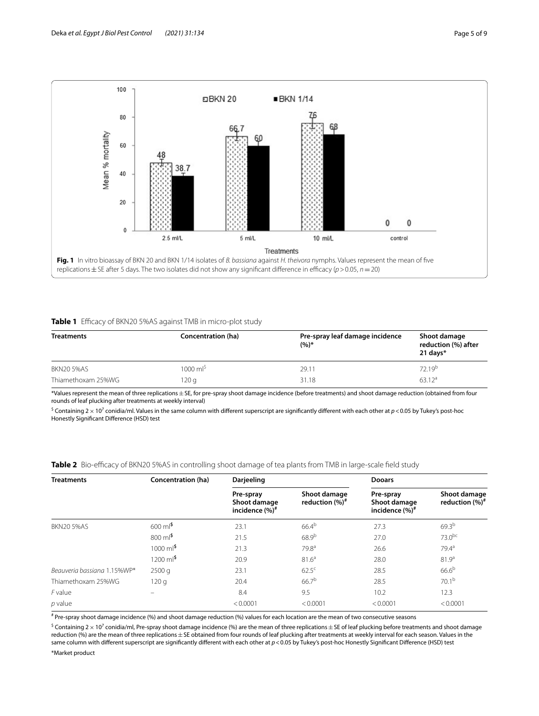

#### <span id="page-4-1"></span><span id="page-4-0"></span>**Table 1** Efficacy of BKN20 5%AS against TMB in micro-plot study

| <b>Treatments</b>  | Concentration (ha) | Pre-spray leaf damage incidence<br>$(9/6)*$ | Shoot damage<br>reduction (%) after<br>21 days $*$ |
|--------------------|--------------------|---------------------------------------------|----------------------------------------------------|
| BKN20 5%AS         | 1000 $ml^5$        | 29.11                                       | 72.19 <sup>b</sup>                                 |
| Thiamethoxam 25%WG | 120 g              | 31.18                                       | $63.12^a$                                          |

\*Values represent the mean of three replications±SE, for pre-spray shoot damage incidence (before treatments) and shoot damage reduction (obtained from four rounds of leaf plucking after treatments at weekly interval)

 $^{\circ}$  Containing 2  $\times$  10<sup>7</sup> conidia/ml. Values in the same column with different superscript are significantly different with each other at  $p$  < 0.05 by Tukey's post-hoc Honestly Signifcant Diference (HSD) test

<span id="page-4-2"></span>**Table 2** Bio-efficacy of BKN20 5%AS in controlling shoot damage of tea plants from TMB in large-scale field study

| <b>Treatments</b>           | Concentration (ha)             | Darjeeling                                      |                                   | <b>Dooars</b>                                   |                                   |
|-----------------------------|--------------------------------|-------------------------------------------------|-----------------------------------|-------------------------------------------------|-----------------------------------|
|                             |                                | Pre-spray<br>Shoot damage<br>incidence $(\%)^*$ | Shoot damage<br>reduction $(%)^*$ | Pre-spray<br>Shoot damage<br>incidence $(\%)^*$ | Shoot damage<br>reduction $(%)^*$ |
| <b>BKN20 5%AS</b>           | $600 \text{ ml}^5$             | 23.1                                            | $66.4^{b}$                        | 27.3                                            | $69.3^{b}$                        |
|                             | $800 \text{ ml}^5$             | 21.5                                            | $68.9^{b}$                        | 27.0                                            | $73.0^{bc}$                       |
|                             | $1000 \text{ ml}^5$            | 21.3                                            | 79.8 <sup>a</sup>                 | 26.6                                            | 79.4 <sup>a</sup>                 |
|                             | $1200 \text{ m}$ <sup>\$</sup> | 20.9                                            | 81.6 <sup>a</sup>                 | 28.0                                            | 81.9 <sup>a</sup>                 |
| Beauveria bassiana 1.15%WP* | 2500q                          | 23.1                                            | $62.5^{\circ}$                    | 28.5                                            | $66.6^{b}$                        |
| Thiamethoxam 25%WG          | 120q                           | 20.4                                            | $66.7^{b}$                        | 28.5                                            | 70.1 <sup>b</sup>                 |
| F value                     |                                | 8.4                                             | 9.5                               | 10.2                                            | 12.3                              |
| $p$ value                   |                                | < 0.0001                                        | < 0.0001                          | < 0.0001                                        | < 0.0001                          |

# Pre-spray shoot damage incidence (%) and shoot damage reduction (%) values for each location are the mean of two consecutive seasons

 $^{\circ}$  Containing 2  $\times$  10<sup>7</sup> conidia/ml, Pre-spray shoot damage incidence (%) are the mean of three replications $\pm$  SE of leaf plucking before treatments and shoot damage reduction (%) are the mean of three replications ± SE obtained from four rounds of leaf plucking after treatments at weekly interval for each season. Values in the same column with different superscript are significantly different with each other at  $p$  < 0.05 by Tukey's post-hoc Honestly Significant Difference (HSD) test

\*Market product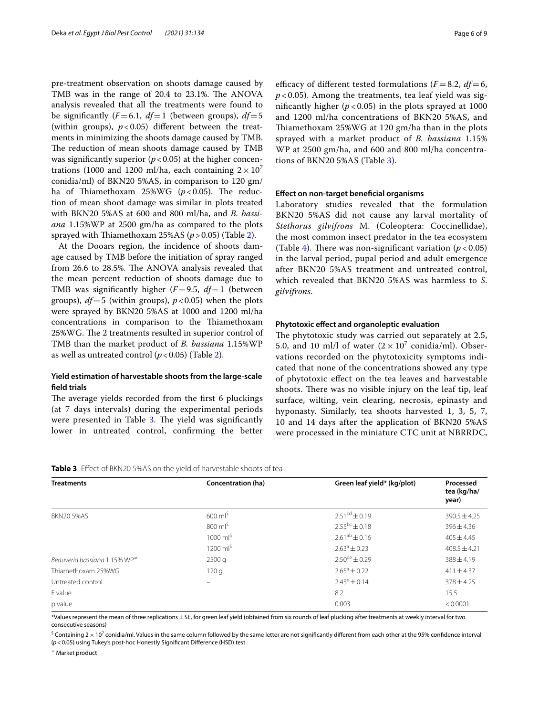pre-treatment observation on shoots damage caused by TMB was in the range of 20.4 to 23.1%. The ANOVA analysis revealed that all the treatments were found to be significantly  $(F=6.1, df=1$  (between groups),  $df=5$ (within groups),  $p < 0.05$ ) different between the treatments in minimizing the shoots damage caused by TMB. The reduction of mean shoots damage caused by TMB was significantly superior  $(p < 0.05)$  at the higher concentrations (1000 and 1200 ml/ha, each containing  $2 \times 10^{7}$ conidia/ml) of BKN20 5%AS, in comparison to 120 gm/ ha of Thiamethoxam  $25\%$ WG ( $p < 0.05$ ). The reduction of mean shoot damage was similar in plots treated with BKN20 5%AS at 600 and 800 ml/ha, and *B. bassiana* 1.15%WP at 2500 gm/ha as compared to the plots sprayed with Tiamethoxam 25%AS (*p*>0.05) (Table [2\)](#page-4-2).

At the Dooars region, the incidence of shoots damage caused by TMB before the initiation of spray ranged from 26.6 to 28.5%. The ANOVA analysis revealed that the mean percent reduction of shoots damage due to TMB was signifcantly higher (*F*=9.5, *df*=1 (between groups), *df*=5 (within groups), *p*<0.05) when the plots were sprayed by BKN20 5%AS at 1000 and 1200 ml/ha concentrations in comparison to the Thiamethoxam 25%WG. The 2 treatments resulted in superior control of TMB than the market product of *B. bassiana* 1.15%WP as well as untreated control  $(p < 0.05)$  (Table [2](#page-4-2)).

# **Yield estimation of harvestable shoots from the large‑scale feld trials**

The average yields recorded from the first 6 pluckings (at 7 days intervals) during the experimental periods were presented in Table [3](#page-5-0). The yield was significantly lower in untreated control, confrming the better efficacy of different tested formulations  $(F=8.2, df=6,$ *p* < 0.05). Among the treatments, tea leaf yield was significantly higher  $(p < 0.05)$  in the plots sprayed at 1000 and 1200 ml/ha concentrations of BKN20 5%AS, and Thiamethoxam 25%WG at 120 gm/ha than in the plots sprayed with a market product of *B. bassiana* 1.15% WP at 2500 gm/ha, and 600 and 800 ml/ha concentrations of BKN20 5%AS (Table [3\)](#page-5-0).

#### **Efect on non‑target benefcial organisms**

Laboratory studies revealed that the formulation BKN20 5%AS did not cause any larval mortality of *Stethorus gilvifrons* M. (Coleoptera: Coccinellidae), the most common insect predator in the tea ecosystem (Table [4](#page-6-0)). There was non-significant variation  $(p < 0.05)$ ) in the larval period, pupal period and adult emergence after BKN20 5%AS treatment and untreated control, which revealed that BKN20 5%AS was harmless to *S*. *gilvifrons*.

## **Phytotoxic efect and organoleptic evaluation**

The phytotoxic study was carried out separately at 2.5, 5.0, and 10 ml/l of water  $(2 \times 10^7 \text{ conidian/ml})$ . Observations recorded on the phytotoxicity symptoms indicated that none of the concentrations showed any type of phytotoxic efect on the tea leaves and harvestable shoots. There was no visible injury on the leaf tip, leaf surface, wilting, vein clearing, necrosis, epinasty and hyponasty. Similarly, tea shoots harvested 1, 3, 5, 7, 10 and 14 days after the application of BKN20 5%AS were processed in the miniature CTC unit at NBRRDC,

<span id="page-5-0"></span>

|  |  |  | Table 3 Effect of BKN20 5%AS on the yield of harvestable shoots of tea |  |
|--|--|--|------------------------------------------------------------------------|--|
|--|--|--|------------------------------------------------------------------------|--|

| <b>Treatments</b>                    | Concentration (ha)          | Green leaf yield* (kg/plot) | Processed            |  |
|--------------------------------------|-----------------------------|-----------------------------|----------------------|--|
|                                      |                             |                             | tea (kg/ha/<br>year) |  |
| <b>BKN20 5%AS</b>                    | $600 \text{ ml}^5$          | $2.51cd \pm 0.19$           | $390.5 \pm 4.25$     |  |
|                                      | $800 \text{ ml}^{\text{S}}$ | $2.55^{bc} \pm 0.18$        | $396 \pm 4.36$       |  |
|                                      | $1000 \text{ ml}^5$         | $2.61^{ab} \pm 0.16$        | $405 \pm 4.45$       |  |
|                                      | $1200 \text{ ml}^5$         | $2.63^a \pm 0.23$           | $408.5 \pm 4.21$     |  |
| Beauveria bassiana 1.15% $WP^{\neq}$ | 2500q                       | $2.50^{\text{de}} \pm 0.29$ | $388 \pm 4.19$       |  |
| Thiamethoxam 25%WG                   | 120q                        | $2.65^{\circ} \pm 0.22$     | $411 \pm 4.37$       |  |
| Untreated control                    |                             | $2.43^e \pm 0.14$           | $378 \pm 4.25$       |  |
| F value                              |                             | 8.2                         | 15.5                 |  |
| p value                              |                             | 0.003                       | < 0.0001             |  |

\*Values represent the mean of three replications±SE, for green leaf yield (obtained from six rounds of leaf plucking after treatments at weekly interval for two consecutive seasons)

 $^{\circ}$  Containing 2  $\times$  10 $^7$  conidia/ml. Values in the same column followed by the same letter are not significantly different from each other at the 95% confidence interval (*p*<0.05) using Tukey's post-hoc Honestly Signifcant Diference (HSD) test

<sup>≠</sup> Market product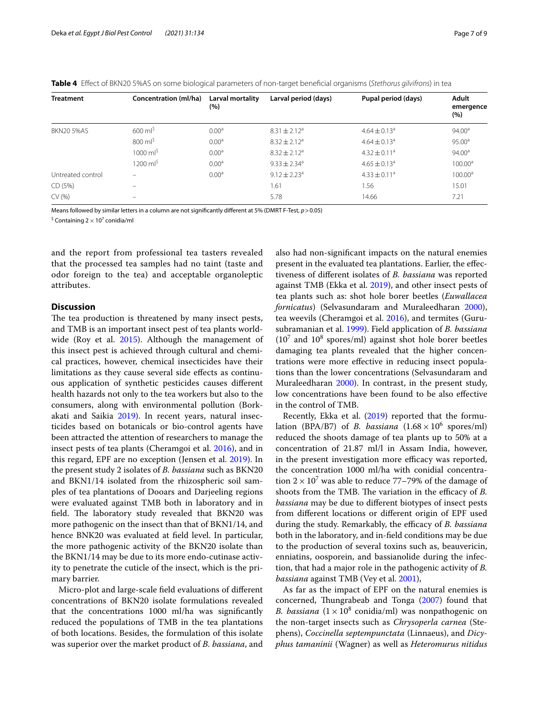<span id="page-6-0"></span>

|  |  |  |  |  | Table 4 Effect of BKN20 5%AS on some biological parameters of non-target beneficial organisms (Stethorus gilvifrons) in tea |
|--|--|--|--|--|-----------------------------------------------------------------------------------------------------------------------------|
|--|--|--|--|--|-----------------------------------------------------------------------------------------------------------------------------|

| <b>Treatment</b>  | Concentration (ml/ha)    | Larval mortality<br>$(\% )$ | Larval period (days)         | Pupal period (days)          | Adult<br>emergence<br>$(\% )$ |
|-------------------|--------------------------|-----------------------------|------------------------------|------------------------------|-------------------------------|
| <b>BKN20 5%AS</b> | $600 \text{ ml}^5$       | 0.00 <sup>a</sup>           | $8.31 \pm 2.12^a$            | $4.64 \pm 0.13$ <sup>a</sup> | 94.00 <sup>a</sup>            |
|                   | $800 \text{ ml}^5$       | 0.00 <sup>a</sup>           | $8.32 \pm 2.12^a$            | $4.64 \pm 0.13$ <sup>a</sup> | $95.00^{\circ}$               |
|                   | 1000 $ml^{\rm S}$        | 0.00 <sup>a</sup>           | $8.32 \pm 2.12^a$            | $4.32 \pm 0.11^a$            | $94.00^{\circ}$               |
|                   | 1200 ml <sup>\$</sup>    | 0.00 <sup>a</sup>           | $9.33 \pm 2.34$ <sup>a</sup> | $4.65 \pm 0.13$ <sup>a</sup> | 100.00 <sup>a</sup>           |
| Untreated control | -                        | 0.00 <sup>a</sup>           | $9.12 \pm 2.23$ <sup>a</sup> | $4.33 \pm 0.11$ <sup>a</sup> | 100.00 <sup>a</sup>           |
| CD (5%)           | —                        |                             | 1.61                         | 1.56                         | 15.01                         |
| CV(% )            | $\overline{\phantom{0}}$ |                             | 5.78                         | 14.66                        | 7.21                          |

Means followed by similar letters in a column are not signifcantly diferent at 5% (DMRT F-Test, *p*>0.05)

<sup>\$</sup> Containing 2  $\times$  10<sup>7</sup> conidia/ml

and the report from professional tea tasters revealed that the processed tea samples had no taint (taste and odor foreign to the tea) and acceptable organoleptic attributes.

## **Discussion**

The tea production is threatened by many insect pests, and TMB is an important insect pest of tea plants world-wide (Roy et al. [2015\)](#page-8-0). Although the management of this insect pest is achieved through cultural and chemical practices, however, chemical insecticides have their limitations as they cause several side efects as continuous application of synthetic pesticides causes diferent health hazards not only to the tea workers but also to the consumers, along with environmental pollution (Borkakati and Saikia [2019\)](#page-8-21). In recent years, natural insecticides based on botanicals or bio-control agents have been attracted the attention of researchers to manage the insect pests of tea plants (Cheramgoi et al. [2016\)](#page-8-22), and in this regard, EPF are no exception (Jensen et al. [2019](#page-8-23)). In the present study 2 isolates of *B. bassiana* such as BKN20 and BKN1/14 isolated from the rhizospheric soil samples of tea plantations of Dooars and Darjeeling regions were evaluated against TMB both in laboratory and in field. The laboratory study revealed that BKN20 was more pathogenic on the insect than that of BKN1/14, and hence BNK20 was evaluated at field level. In particular, the more pathogenic activity of the BKN20 isolate than the BKN1/14 may be due to its more endo-cutinase activity to penetrate the cuticle of the insect, which is the primary barrier.

Micro-plot and large-scale feld evaluations of diferent concentrations of BKN20 isolate formulations revealed that the concentrations 1000 ml/ha was signifcantly reduced the populations of TMB in the tea plantations of both locations. Besides, the formulation of this isolate was superior over the market product of *B. bassiana*, and also had non-signifcant impacts on the natural enemies present in the evaluated tea plantations. Earlier, the efectiveness of diferent isolates of *B. bassiana* was reported against TMB (Ekka et al. [2019\)](#page-8-24), and other insect pests of tea plants such as: shot hole borer beetles (*Euwallacea fornicatus*) (Selvasundaram and Muraleedharan [2000](#page-8-25)), tea weevils (Cheramgoi et al. [2016\)](#page-8-22), and termites (Gurusubramanian et al. [1999](#page-8-26)). Field application of *B. bassiana*  $(10<sup>7</sup>$  and  $10<sup>8</sup>$  spores/ml) against shot hole borer beetles damaging tea plants revealed that the higher concentrations were more efective in reducing insect populations than the lower concentrations (Selvasundaram and Muraleedharan [2000](#page-8-25)). In contrast, in the present study, low concentrations have been found to be also efective in the control of TMB.

Recently, Ekka et al. ([2019](#page-8-24)) reported that the formulation (BPA/B7) of *B. bassiana*  $(1.68 \times 10^6 \text{ spores/ml})$ reduced the shoots damage of tea plants up to 50% at a concentration of 21.87 ml/l in Assam India, however, in the present investigation more efficacy was reported, the concentration 1000 ml/ha with conidial concentration  $2 \times 10^7$  was able to reduce 77–79% of the damage of shoots from the TMB. The variation in the efficacy of *B*. *bassiana* may be due to diferent biotypes of insect pests from diferent locations or diferent origin of EPF used during the study. Remarkably, the efficacy of *B. bassiana* both in the laboratory, and in-feld conditions may be due to the production of several toxins such as, beauvericin, enniatins, oosporein, and bassianolide during the infection, that had a major role in the pathogenic activity of *B. bassiana* against TMB (Vey et al. [2001](#page-8-27)),

As far as the impact of EPF on the natural enemies is concerned, Thungrabeab and Tonga [\(2007\)](#page-8-28) found that *B. bassiana*  $(1 \times 10^8 \text{ conidia/ml})$  was nonpathogenic on the non-target insects such as *Chrysoperla carnea* (Stephens), *Coccinella septempunctata* (Linnaeus), and *Dicyphus tamaninii* (Wagner) as well as *Heteromurus nitidus*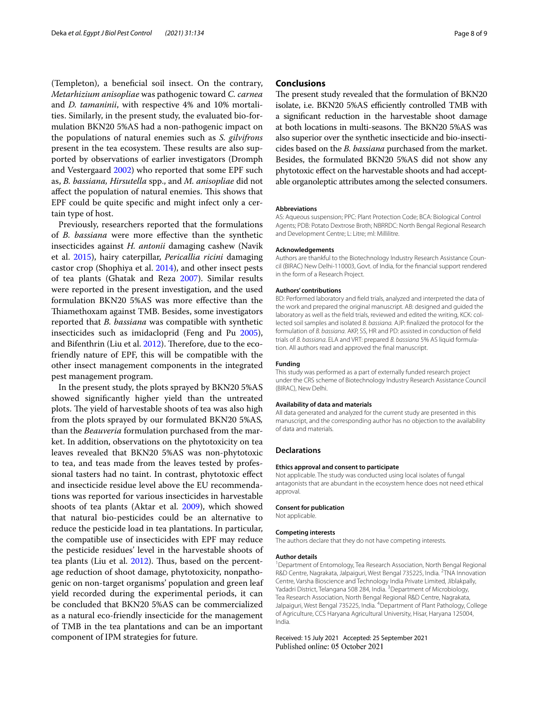(Templeton), a beneficial soil insect. On the contrary, *Metarhizium anisopliae* was pathogenic toward *C. carnea* and *D. tamaninii*, with respective 4% and 10% mortalities. Similarly, in the present study, the evaluated bio-formulation BKN20 5%AS had a non-pathogenic impact on the populations of natural enemies such as *S. gilvifrons* present in the tea ecosystem. These results are also supported by observations of earlier investigators (Dromph and Vestergaard [2002](#page-8-29)) who reported that some EPF such as, *B. bassiana, Hirsutella* spp., and *M. anisopliae* did not affect the population of natural enemies. This shows that EPF could be quite specifc and might infect only a certain type of host.

Previously, researchers reported that the formulations of *B. bassiana* were more efective than the synthetic insecticides against *H. antonii* damaging cashew (Navik et al. [2015\)](#page-8-30), hairy caterpillar, *Pericallia ricini* damaging castor crop (Shophiya et al. [2014\)](#page-8-31), and other insect pests of tea plants (Ghatak and Reza [2007\)](#page-8-32). Similar results were reported in the present investigation, and the used formulation BKN20 5%AS was more efective than the Thiamethoxam against TMB. Besides, some investigators reported that *B. bassiana* was compatible with synthetic insecticides such as imidacloprid (Feng and Pu [2005](#page-8-33)), and Bifenthrin (Liu et al. [2012](#page-8-34)). Therefore, due to the ecofriendly nature of EPF, this will be compatible with the other insect management components in the integrated pest management program.

In the present study, the plots sprayed by BKN20 5%AS showed signifcantly higher yield than the untreated plots. The yield of harvestable shoots of tea was also high from the plots sprayed by our formulated BKN20 5%AS*,* than the *Beauveria* formulation purchased from the market. In addition, observations on the phytotoxicity on tea leaves revealed that BKN20 5%AS was non-phytotoxic to tea, and teas made from the leaves tested by professional tasters had no taint. In contrast, phytotoxic efect and insecticide residue level above the EU recommendations was reported for various insecticides in harvestable shoots of tea plants (Aktar et al. [2009\)](#page-8-35), which showed that natural bio-pesticides could be an alternative to reduce the pesticide load in tea plantations. In particular, the compatible use of insecticides with EPF may reduce the pesticide residues' level in the harvestable shoots of tea plants (Liu et al.  $2012$ ). Thus, based on the percentage reduction of shoot damage, phytotoxicity, nonpathogenic on non-target organisms' population and green leaf yield recorded during the experimental periods, it can be concluded that BKN20 5%AS can be commercialized as a natural eco-friendly insecticide for the management of TMB in the tea plantations and can be an important component of IPM strategies for future.

#### **Conclusions**

The present study revealed that the formulation of BKN20 isolate, i.e. BKN20 5%AS efficiently controlled TMB with a signifcant reduction in the harvestable shoot damage at both locations in multi-seasons. The BKN20 5%AS was also superior over the synthetic insecticide and bio-insecticides based on the *B. bassiana* purchased from the market. Besides, the formulated BKN20 5%AS did not show any phytotoxic efect on the harvestable shoots and had acceptable organoleptic attributes among the selected consumers.

#### **Abbreviations**

AS: Aqueous suspension; PPC: Plant Protection Code; BCA: Biological Control Agents; PDB: Potato Dextrose Broth; NBRRDC: North Bengal Regional Research and Development Centre; L: Litre; ml: Millilitre.

#### **Acknowledgements**

Authors are thankful to the Biotechnology Industry Research Assistance Council (BIRAC) New Delhi-110003, Govt. of India, for the fnancial support rendered in the form of a Research Project.

#### **Authors' contributions**

BD: Performed laboratory and feld trials, analyzed and interpreted the data of the work and prepared the original manuscript. AB: designed and guided the laboratory as well as the feld trials, reviewed and edited the writing, KCK: collected soil samples and isolated *B. bassiana.* AJP: fnalized the protocol for the formulation of *B. bassiana.* AKP, SS, HR and PD: assisted in conduction of feld trials of *B. bassiana*. ELA and VRT: prepared *B. bassiana* 5% AS liquid formulation. All authors read and approved the fnal manuscript.

#### **Funding**

This study was performed as a part of externally funded research project under the CRS scheme of Biotechnology Industry Research Assistance Council (BIRAC), New Delhi.

#### **Availability of data and materials**

All data generated and analyzed for the current study are presented in this manuscript, and the corresponding author has no objection to the availability of data and materials.

#### **Declarations**

#### **Ethics approval and consent to participate**

Not applicable. The study was conducted using local isolates of fungal antagonists that are abundant in the ecosystem hence does not need ethical approval.

#### **Consent for publication** Not applicable.

#### **Competing interests**

The authors declare that they do not have competing interests.

#### **Author details**

<sup>1</sup> Department of Entomology, Tea Research Association, North Bengal Regional R&D Centre, Nagrakata, Jalpaiguri, West Bengal 735225, India. <sup>2</sup>TNA Innovation Centre, Varsha Bioscience and Technology India Private Limited, Jiblakpally, Yadadri District, Telangana 508 284, India.<sup>3</sup> Department of Microbiology, Tea Research Association, North Bengal Regional R&D Centre, Nagrakata, Jalpaiguri, West Bengal 735225, India. <sup>4</sup> Department of Plant Pathology, College of Agriculture, CCS Haryana Agricultural University, Hisar, Haryana 125004, India.

Received: 15 July 2021 Accepted: 25 September 2021Published online: 05 October 2021